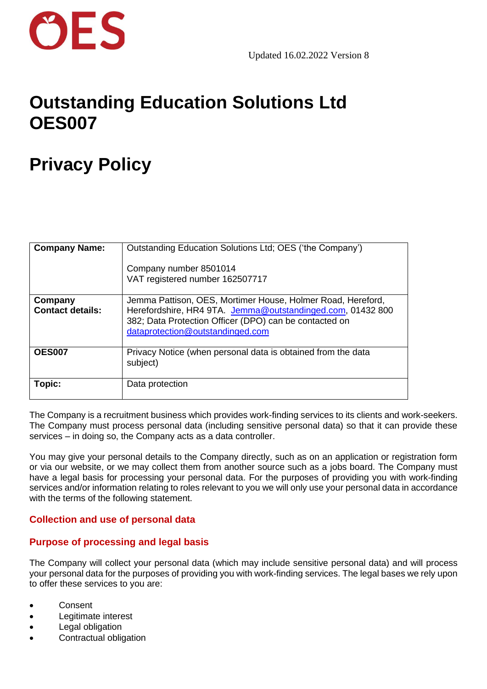

## **Outstanding Education Solutions Ltd OES007**

### **Privacy Policy**

| <b>Company Name:</b>               | Outstanding Education Solutions Ltd; OES ('the Company')<br>Company number 8501014<br>VAT registered number 162507717                                                                                                   |
|------------------------------------|-------------------------------------------------------------------------------------------------------------------------------------------------------------------------------------------------------------------------|
| Company<br><b>Contact details:</b> | Jemma Pattison, OES, Mortimer House, Holmer Road, Hereford,<br>Herefordshire, HR4 9TA. Jemma@outstandinged.com, 01432 800<br>382; Data Protection Officer (DPO) can be contacted on<br>dataprotection@outstandinged.com |
| <b>OES007</b>                      | Privacy Notice (when personal data is obtained from the data<br>subject)                                                                                                                                                |
| Topic:                             | Data protection                                                                                                                                                                                                         |

The Company is a recruitment business which provides work-finding services to its clients and work-seekers. The Company must process personal data (including sensitive personal data) so that it can provide these services – in doing so, the Company acts as a data controller.

You may give your personal details to the Company directly, such as on an application or registration form or via our website, or we may collect them from another source such as a jobs board. The Company must have a legal basis for processing your personal data. For the purposes of providing you with work-finding services and/or information relating to roles relevant to you we will only use your personal data in accordance with the terms of the following statement.

#### **Collection and use of personal data**

#### **Purpose of processing and legal basis**

The Company will collect your personal data (which may include sensitive personal data) and will process your personal data for the purposes of providing you with work-finding services. The legal bases we rely upon to offer these services to you are:

- Consent
- Legitimate interest
- Legal obligation
- Contractual obligation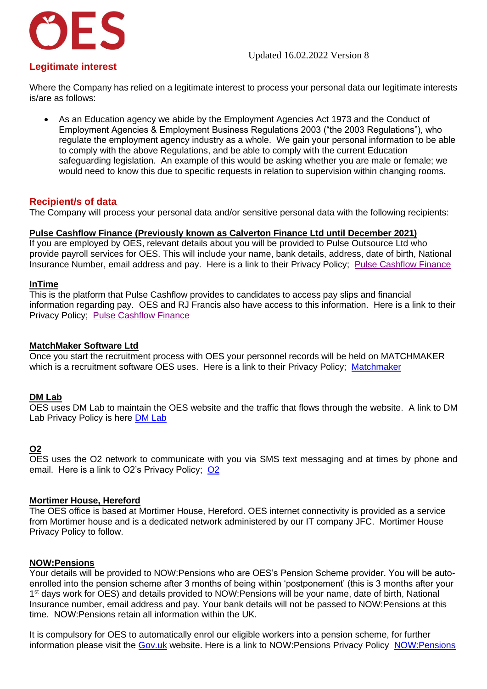#### Updated 16.02.2022 Version 8



#### **Legitimate interest**

Where the Company has relied on a legitimate interest to process your personal data our legitimate interests is/are as follows:

• As an Education agency we abide by the Employment Agencies Act 1973 and the Conduct of Employment Agencies & Employment Business Regulations 2003 ("the 2003 Regulations"), who regulate the employment agency industry as a whole. We gain your personal information to be able to comply with the above Regulations, and be able to comply with the current Education safeguarding legislation. An example of this would be asking whether you are male or female; we would need to know this due to specific requests in relation to supervision within changing rooms.

#### **Recipient/s of data**

The Company will process your personal data and/or sensitive personal data with the following recipients:

#### **Pulse Cashflow Finance (Previously known as Calverton Finance Ltd until December 2021)**

If you are employed by OES, relevant details about you will be provided to Pulse Outsource Ltd who provide payroll services for OES. This will include your name, bank details, address, date of birth, National Insurance Number, email address and pay. Here is a link to their Privacy Policy; [Pulse Cashflow Finance](https://www.pulsecashflow.com/privacy-policy)

#### **InTime**

This is the platform that Pulse Cashflow provides to candidates to access pay slips and financial information regarding pay. OES and RJ Francis also have access to this information. Here is a link to their Privacy Policy; [Pulse Cashflow Finance](https://www.pulsecashflow.com/privacy-policy)

#### **MatchMaker Software Ltd**

Once you start the recruitment process with OES your personnel records will be held on MATCHMAKER which is a recruitment software OES uses. Here is a link to their Privacy Policy; [Matchmaker](http://www.ciphr.com/privacy-notice/)

#### **DM Lab**

OES uses DM Lab to maintain the OES website and the traffic that flows through the website. A link to DM Lab Privacy Policy is here [DM Lab](https://thedmlab.com/privacy-policy/)

#### **O2**

OES uses the O2 network to communicate with you via SMS text messaging and at times by phone and email. Here is a link to O2's Privacy Policy; [O2](https://www.o2.co.uk/termsandconditions/privacy-policy)

#### **Mortimer House, Hereford**

The OES office is based at Mortimer House, Hereford. OES internet connectivity is provided as a service from Mortimer house and is a dedicated network administered by our IT company JFC. Mortimer House Privacy Policy to follow.

#### **NOW:Pensions**

Your details will be provided to NOW:Pensions who are OES's Pension Scheme provider. You will be autoenrolled into the pension scheme after 3 months of being within 'postponement' (this is 3 months after your 1<sup>st</sup> days work for OES) and details provided to NOW: Pensions will be your name, date of birth, National Insurance number, email address and pay. Your bank details will not be passed to NOW:Pensions at this time. NOW:Pensions retain all information within the UK.

It is compulsory for OES to automatically enrol our eligible workers into a pension scheme, for further information please visit the [Gov.uk](https://www.gov.uk/workplace-pensions) website. Here is a link to NOW:Pensions Privacy Policy [NOW:Pensions](https://www.nowpensions.com/privacy-policy/)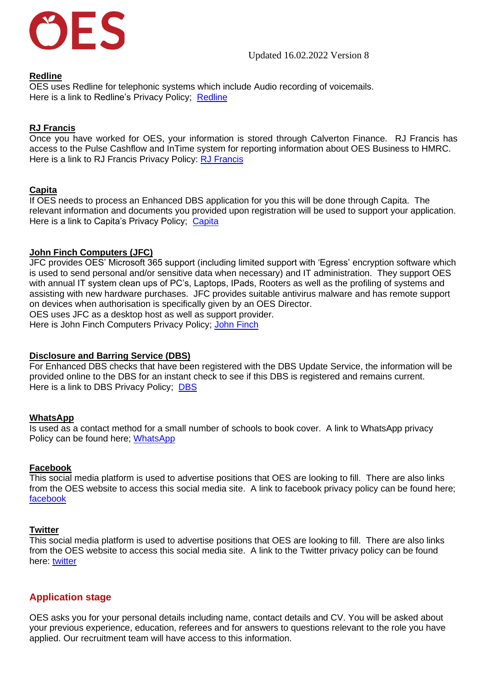

#### **Redline**

OES uses Redline for telephonic systems which include Audio recording of voicemails. Here is a link to Redline's Privacy Policy; [Redline](https://www.redlinetele.com/privacy-policy/)

#### **RJ Francis**

Once you have worked for OES, your information is stored through Calverton Finance. RJ Francis has access to the Pulse Cashflow and InTime system for reporting information about OES Business to HMRC. Here is a link to RJ Francis Privacy Policy: [RJ Francis](https://rjfrancis.co.uk/privacy/)

#### **Capita**

If OES needs to process an Enhanced DBS application for you this will be done through Capita. The relevant information and documents you provided upon registration will be used to support your application. Here is a link to Capita's Privacy Policy; [Capita](http://www.capita.com/privacy-policy/)

### **John Finch Computers (JFC)**

JFC provides OES' Microsoft 365 support (including limited support with 'Egress' encryption software which is used to send personal and/or sensitive data when necessary) and IT administration. They support OES with annual IT system clean ups of PC's, Laptops, IPads, Rooters as well as the profiling of systems and assisting with new hardware purchases. JFC provides suitable antivirus malware and has remote support on devices when authorisation is specifically given by an OES Director.

OES uses JFC as a desktop host as well as support provider. Here is [John Finch](file:///W:/OES%20Documents/GDPR/JFC%20Privacy%20Policy%20(003).pdf) Computers Privacy Policy; John Finch

#### **Disclosure and Barring Service (DBS)**

For Enhanced DBS checks that have been registered with the DBS Update Service, the information will be provided online to the DBS for an instant check to see if this DBS is registered and remains current. Here is a link to [DBS](https://secure.crbonline.gov.uk/crsc/terms) Privacy Policy; DBS

#### **WhatsApp**

Is used as a contact method for a small number of schools to book cover. A link to WhatsApp privacy Policy can be found here; [WhatsApp](https://www.whatsapp.com/legal/updates/privacy-policy/?lang=en)

#### **Facebook**

This social media platform is used to advertise positions that OES are looking to fill. There are also links from the OES website to access this social media site. A link to facebook privacy policy can be found here; [facebook](https://www.facebook.com/about/privacy)

#### **Twitter**

This social media platform is used to advertise positions that OES are looking to fill. There are also links from the OES website to access this social media site. A link to the Twitter privacy policy can be found here: [twitter](https://twitter.com/en/privacy)

#### **Application stage**

OES asks you for your personal details including name, contact details and CV. You will be asked about your previous experience, education, referees and for answers to questions relevant to the role you have applied. Our recruitment team will have access to this information.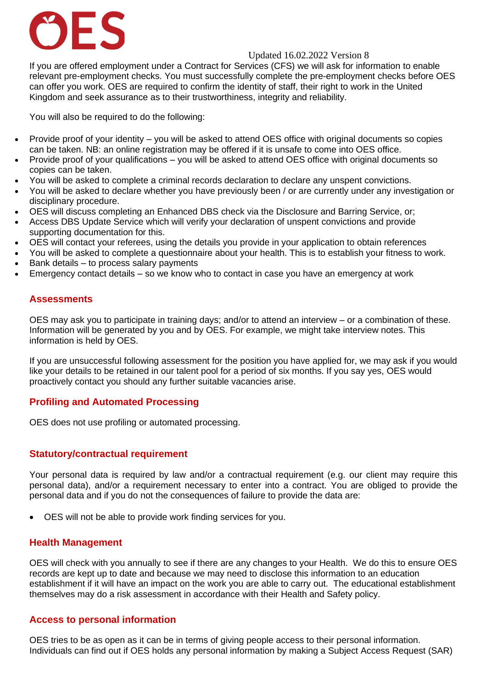## **DES**

#### Updated 16.02.2022 Version 8

If you are offered employment under a Contract for Services (CFS) we will ask for information to enable relevant pre-employment checks. You must successfully complete the pre-employment checks before OES can offer you work. OES are required to confirm the identity of staff, their right to work in the United Kingdom and seek assurance as to their trustworthiness, integrity and reliability.

You will also be required to do the following:

- Provide proof of your identity you will be asked to attend OES office with original documents so copies can be taken. NB: an online registration may be offered if it is unsafe to come into OES office.
- Provide proof of your qualifications you will be asked to attend OES office with original documents so copies can be taken.
- You will be asked to complete a criminal records declaration to declare any unspent convictions.
- You will be asked to declare whether you have previously been / or are currently under any investigation or disciplinary procedure.
- OES will discuss completing an Enhanced DBS check via the Disclosure and Barring Service, or;
- Access DBS Update Service which will verify your declaration of unspent convictions and provide supporting documentation for this.
- OES will contact your referees, using the details you provide in your application to obtain references
- You will be asked to complete a questionnaire about your health. This is to establish your fitness to work.
- Bank details to process salary payments
- Emergency contact details so we know who to contact in case you have an emergency at work

#### **Assessments**

OES may ask you to participate in training days; and/or to attend an interview – or a combination of these. Information will be generated by you and by OES. For example, we might take interview notes. This information is held by OES.

If you are unsuccessful following assessment for the position you have applied for, we may ask if you would like your details to be retained in our talent pool for a period of six months. If you say yes, OES would proactively contact you should any further suitable vacancies arise.

#### **Profiling and Automated Processing**

OES does not use profiling or automated processing.

#### **Statutory/contractual requirement**

Your personal data is required by law and/or a contractual requirement (e.g. our client may require this personal data), and/or a requirement necessary to enter into a contract. You are obliged to provide the personal data and if you do not the consequences of failure to provide the data are:

• OES will not be able to provide work finding services for you.

#### **Health Management**

OES will check with you annually to see if there are any changes to your Health. We do this to ensure OES records are kept up to date and because we may need to disclose this information to an education establishment if it will have an impact on the work you are able to carry out. The educational establishment themselves may do a risk assessment in accordance with their Health and Safety policy.

#### **Access to personal information**

OES tries to be as open as it can be in terms of giving people access to their personal information. Individuals can find out if OES holds any personal information by making a Subject Access Request (SAR)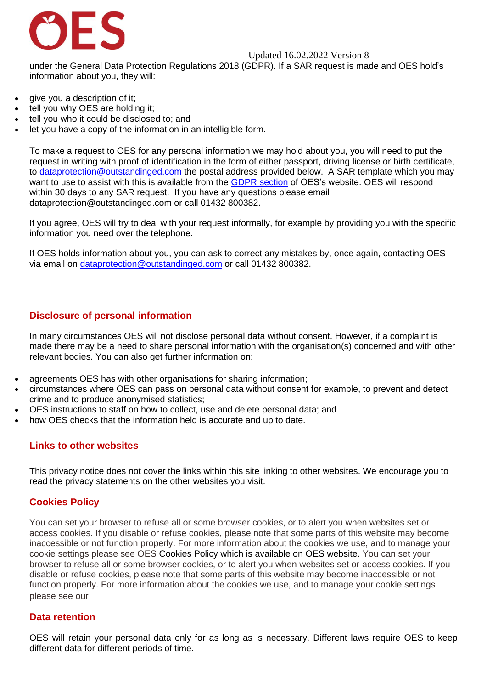

Updated 16.02.2022 Version 8

under the General Data Protection Regulations 2018 (GDPR). If a SAR request is made and OES hold's information about you, they will:

- give you a description of it;
- tell you why OES are holding it;
- tell you who it could be disclosed to; and
- let you have a copy of the information in an intelligible form.

To make a request to OES for any personal information we may hold about you, you will need to put the request in writing with proof of identification in the form of either passport, driving license or birth certificate, to [dataprotection@outstandinged.com](mailto:dataprotection@outstandinged.com) the postal address provided below. A SAR template which you may want to use to assist with this is available from the **GDPR** section of OES's website. OES will respond within 30 days to any SAR request. If you have any questions please email dataprotection@outstandinged.com or call 01432 800382.

If you agree, OES will try to deal with your request informally, for example by providing you with the specific information you need over the telephone.

If OES holds information about you, you can ask to correct any mistakes by, once again, contacting OES via email on [dataprotection@outstandinged.com](mailto:dataprotection@outstandinged.com) or call 01432 800382.

#### **Disclosure of personal information**

In many circumstances OES will not disclose personal data without consent. However, if a complaint is made there may be a need to share personal information with the organisation(s) concerned and with other relevant bodies. You can also get further information on:

- agreements OES has with other organisations for sharing information:
- circumstances where OES can pass on personal data without consent for example, to prevent and detect crime and to produce anonymised statistics;
- OES instructions to staff on how to collect, use and delete personal data; and
- how OES checks that the information held is accurate and up to date.

#### **Links to other websites**

This privacy notice does not cover the links within this site linking to other websites. We encourage you to read the privacy statements on the other websites you visit.

#### **Cookies Policy**

You can set your browser to refuse all or some browser cookies, or to alert you when websites set or access cookies. If you disable or refuse cookies, please note that some parts of this website may become inaccessible or not function properly. For more information about the cookies we use, and to manage your cookie settings please see OES Cookies Policy which is available on OES website. You can set your browser to refuse all or some browser cookies, or to alert you when websites set or access cookies. If you disable or refuse cookies, please note that some parts of this website may become inaccessible or not function properly. For more information about the cookies we use, and to manage your cookie settings please see our

#### **Data retention**

OES will retain your personal data only for as long as is necessary. Different laws require OES to keep different data for different periods of time.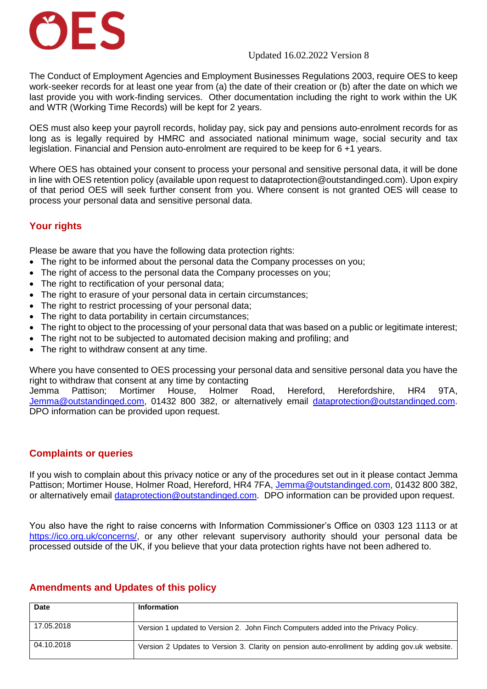# ES

#### Updated 16.02.2022 Version 8

The Conduct of Employment Agencies and Employment Businesses Regulations 2003, require OES to keep work-seeker records for at least one year from (a) the date of their creation or (b) after the date on which we last provide you with work-finding services. Other documentation including the right to work within the UK and WTR (Working Time Records) will be kept for 2 years.

OES must also keep your payroll records, holiday pay, sick pay and pensions auto-enrolment records for as long as is legally required by HMRC and associated national minimum wage, social security and tax legislation. Financial and Pension auto-enrolment are required to be keep for 6 +1 years.

Where OES has obtained your consent to process your personal and sensitive personal data, it will be done in line with OES retention policy (available upon request to dataprotection@outstandinged.com). Upon expiry of that period OES will seek further consent from you. Where consent is not granted OES will cease to process your personal data and sensitive personal data.

#### **Your rights**

Please be aware that you have the following data protection rights:

- The right to be informed about the personal data the Company processes on you;
- The right of access to the personal data the Company processes on you;
- The right to rectification of your personal data:
- The right to erasure of your personal data in certain circumstances;
- The right to restrict processing of your personal data;
- The right to data portability in certain circumstances;
- The right to object to the processing of your personal data that was based on a public or legitimate interest;
- The right not to be subjected to automated decision making and profiling; and
- The right to withdraw consent at any time.

Where you have consented to OES processing your personal data and sensitive personal data you have the right to withdraw that consent at any time by contacting

Jemma Pattison; Mortimer House, Holmer Road, Hereford, Herefordshire, HR4 9TA, [Jemma@outstandinged.com,](mailto:Jemma@outstandinged.com) 01432 800 382, or alternatively email [dataprotection@outstandinged.com.](mailto:dataprotection@outstandinged.com) DPO information can be provided upon request.

#### **Complaints or queries**

If you wish to complain about this privacy notice or any of the procedures set out in it please contact Jemma Pattison; Mortimer House, Holmer Road, Hereford, HR4 7FA, [Jemma@outstandinged.com,](mailto:Jemma@outstandinged.com) 01432 800 382, or alternatively email [dataprotection@outstandinged.com.](mailto:dataprotection@outstandinged.com) DPO information can be provided upon request.

You also have the right to raise concerns with Information Commissioner's Office on 0303 123 1113 or at [https://ico.org.uk/concerns/,](https://ico.org.uk/concerns/) or any other relevant supervisory authority should your personal data be processed outside of the UK, if you believe that your data protection rights have not been adhered to.

#### **Amendments and Updates of this policy**

| <b>Date</b> | <b>Information</b>                                                                           |
|-------------|----------------------------------------------------------------------------------------------|
| 17.05.2018  | Version 1 updated to Version 2. John Finch Computers added into the Privacy Policy.          |
| 04.10.2018  | Version 2 Updates to Version 3. Clarity on pension auto-enrollment by adding gov.uk website. |